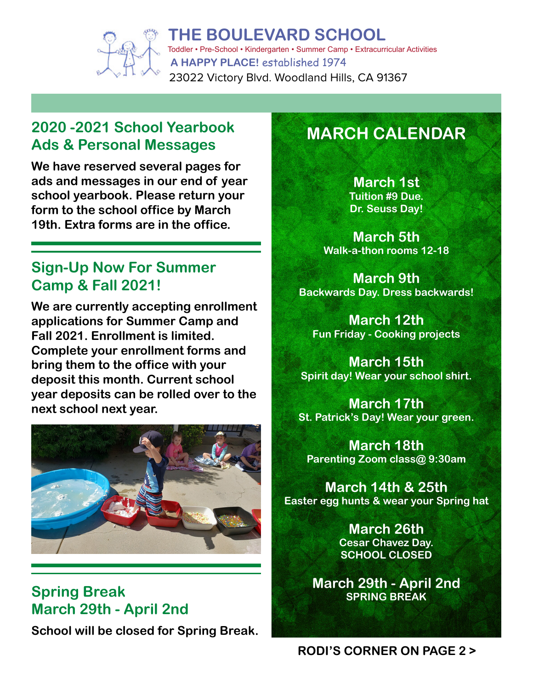

**A HAPPY PLACE!** established 1974 **THE BOULEVARD SCHOOL** Toddler • Pre-School • Kindergarten • Summer Camp • Extracurricular Activities 23022 Victory Blvd. Woodland Hills, CA 91367

## **2020 -2021 School Yearbook Ads & Personal Messages**

**We have reserved several pages for ads and messages in our end of year school yearbook. Please return your form to the school office by March 19th. Extra forms are in the office.**

## **Sign-Up Now For Summer Camp & Fall 2021!**

**We are currently accepting enrollment applications for Summer Camp and Fall 2021. Enrollment is limited. Complete your enrollment forms and bring them to the office with your deposit this month. Current school year deposits can be rolled over to the next school next year.**



## **Spring Break March 29th - April 2nd**

**School will be closed for Spring Break.**

## **MARCH CALENDAR**

**March 1st Tuition #9 Due. Dr. Seuss Day!**

**March 5th Walk-a-thon rooms 12-18**

**March 9th Backwards Day. Dress backwards!**

**March 12th Fun Friday - Cooking projects**

**March 15th Spirit day! Wear your school shirt.**

**March 17th St. Patrick's Day! Wear your green.**

**March 18th Parenting Zoom class@ 9:30am**

**March 14th & 25th Easter egg hunts & wear your Spring hat**

> **March 26th Cesar Chavez Day. SCHOOL CLOSED**

**March 29th - April 2nd SPRING BREAK**

#### **RODI'S CORNER ON PAGE 2 >**